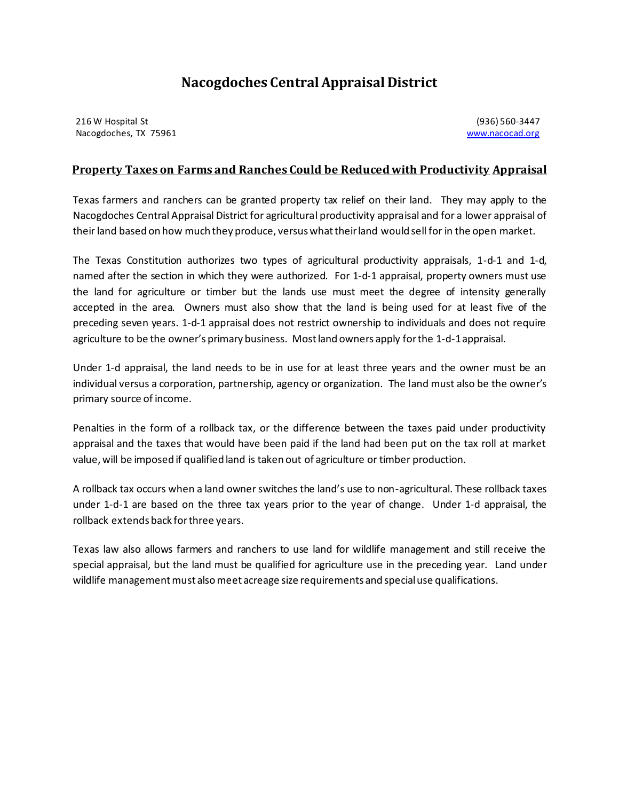## **Nacogdoches Central Appraisal District**

216 W Hospital St (936) 560-3447 Nacogdoches, TX 75961 www.nacocad.org

## **Property Taxes on Farms and Ranches Could be Reduced with Productivity Appraisal**

Texas farmers and ranchers can be granted property tax relief on their land. They may apply to the Nacogdoches Central Appraisal District for agricultural productivity appraisal and for a lower appraisal of their land based on how much they produce, versus what their land would sell for in the open market.

The Texas Constitution authorizes two types of agricultural productivity appraisals, 1-d-1 and 1-d, named after the section in which they were authorized. For 1-d-1 appraisal, property owners must use the land for agriculture or timber but the lands use must meet the degree of intensity generally accepted in the area. Owners must also show that the land is being used for at least five of the preceding seven years. 1-d-1 appraisal does not restrict ownership to individuals and does not require agriculture to be the owner's primary business. Most land owners apply for the 1-d-1 appraisal.

Under 1-d appraisal, the land needs to be in use for at least three years and the owner must be an individual versus a corporation, partnership, agency or organization. The land must also be the owner's primary source of income.

Penalties in the form of a rollback tax, or the difference between the taxes paid under productivity appraisal and the taxes that would have been paid if the land had been put on the tax roll at market value, will be imposed if qualified land is taken out of agriculture or timber production.

A rollback tax occurs when a land owner switches the land's use to non-agricultural. These rollback taxes under 1-d-1 are based on the three tax years prior to the year of change. Under 1-d appraisal, the rollback extends back for three years.

Texas law also allows farmers and ranchers to use land for wildlife management and still receive the special appraisal, but the land must be qualified for agriculture use in the preceding year. Land under wildlife management must also meet acreage size requirements and special use qualifications.